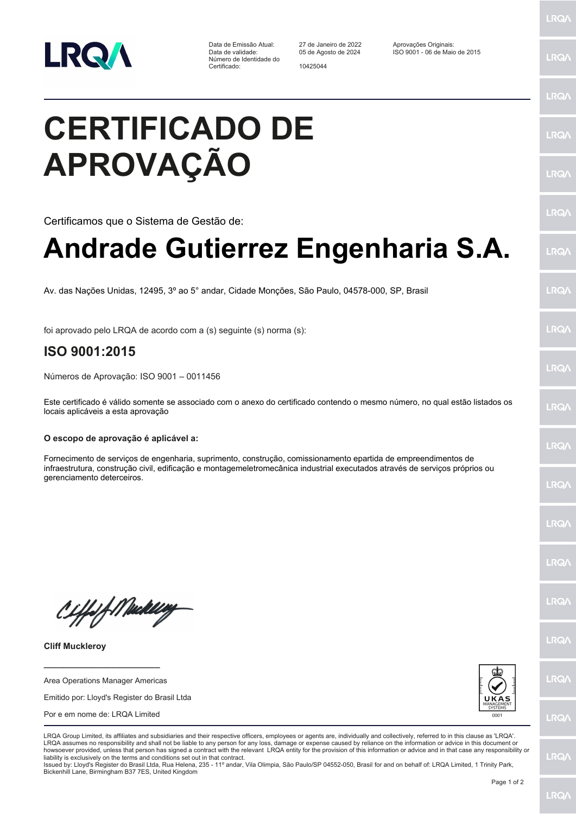

Data de Emissão Atual: 27 de Janeiro de 2022 Aprovações Originais: Número de Identidade do Certificado: 10425044

Data de validade: 05 de Agosto de 2024 ISO 9001 - 06 de Maio de 2015

## **CERTIFICADO DE APROVAÇÃO**

Certificamos que o Sistema de Gestão de:

## **Andrade Gutierrez Engenharia S.A.**

Av. das Nações Unidas, 12495, 3º ao 5° andar, Cidade Monções, São Paulo, 04578-000, SP, Brasil

foi aprovado pelo LRQA de acordo com a (s) seguinte (s) norma (s):

## **ISO 9001:2015**

Números de Aprovação: ISO 9001 – 0011456

Este certificado é válido somente se associado com o anexo do certificado contendo o mesmo número, no qual estão listados os locais aplicáveis a esta aprovação

## **O escopo de aprovação é aplicável a:**

Fornecimento de serviços de engenharia, suprimento, construção, comissionamento epartida de empreendimentos de infraestrutura, construção civil, edificação e montagemeletromecânica industrial executados através de serviços próprios ou gerenciamento deterceiros.

Ciffeft Medal

**Cliff Muckleroy**

Area Operations Manager Americas

**\_\_\_\_\_\_\_\_\_\_\_\_\_\_\_\_\_\_\_\_\_\_\_\_**

Emitido por: Lloyd's Register do Brasil Ltda

Por e em nome de: LRQA Limited



LRQA Group Limited, its affiliates and subsidiaries and their respective officers, employees or agents are, individually and collectively, referred to in this clause as 'LRQA'. LRQA assumes no responsibility and shall not be liable to any person for any loss, damage or expense caused by reliance on the information or advice in this document or howsoever provided, unless that person has signed a contract with the relevant LRQA entity for the provision of this information or advice and in that case any responsibility or liability is exclusively on the terms and conditions set out in that contract.

Issued by: Lloyd's Register do Brasil Ltda, Rua Helena, 235 - 11º andar, Vila Olimpia, São Paulo/SP 04552-050, Brasil for and on behalf of: LRQA Limited, 1 Trinity Park, Bickenhill Lane, Birmingham B37 7ES, United Kingdom

LRQ/

**LRQ/** 

LRQ/

LRQ/

LRQ/

LRQ/

LRQ/

**LRQA** 

LRQ/

LRQ/

LRQ/

**LRQ/** 

**LRQ/** 

LRQ/

**IRQA** 

LRQ/

LRQ/

**LRQ/** 

LRQ/